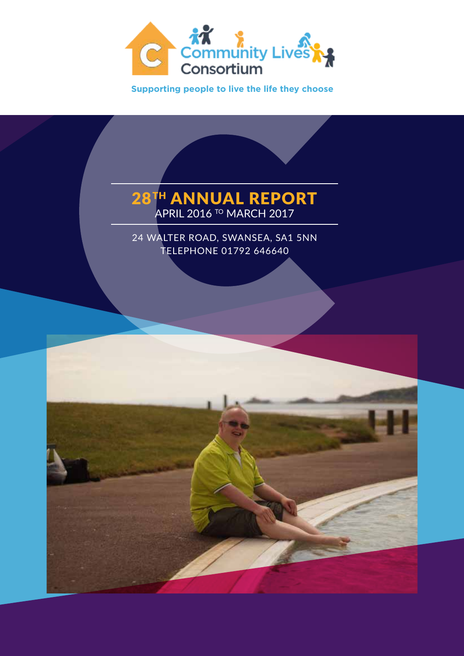

**Supporting people to live the life they choose**

# 28TH ANNUAL REPORT APRIL 2016 TO MARCH 2017

24 WALTER ROAD, SWANSEA, SA1 5NN TELEPHONE 01792 646640

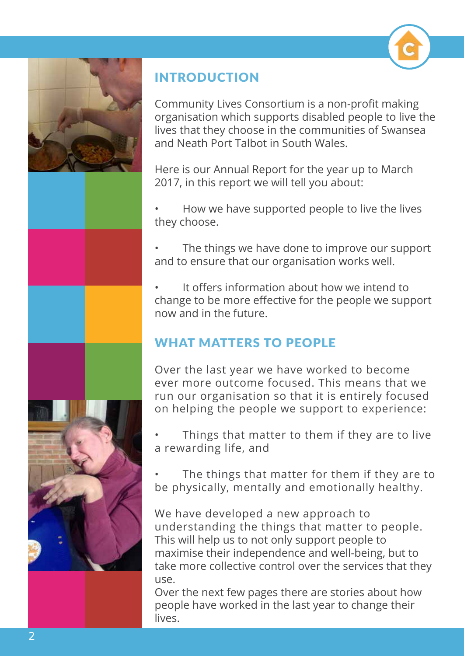



# INTRODUCTION

Community Lives Consortium is a non-profit making organisation which supports disabled people to live the lives that they choose in the communities of Swansea and Neath Port Talbot in South Wales.

Here is our Annual Report for the year up to March 2017, in this report we will tell you about:

• How we have supported people to live the lives they choose.

The things we have done to improve our support and to ensure that our organisation works well.

It offers information about how we intend to change to be more effective for the people we support now and in the future.

# WHAT MATTERS TO PEOPLE

Over the last year we have worked to become ever more outcome focused. This means that we run our organisation so that it is entirely focused on helping the people we support to experience:

Things that matter to them if they are to live a rewarding life, and

The things that matter for them if they are to be physically, mentally and emotionally healthy.

We have developed a new approach to understanding the things that matter to people. This will help us to not only support people to maximise their independence and well-being, but to take more collective control over the services that they use.

Over the next few pages there are stories about how people have worked in the last year to change their lives.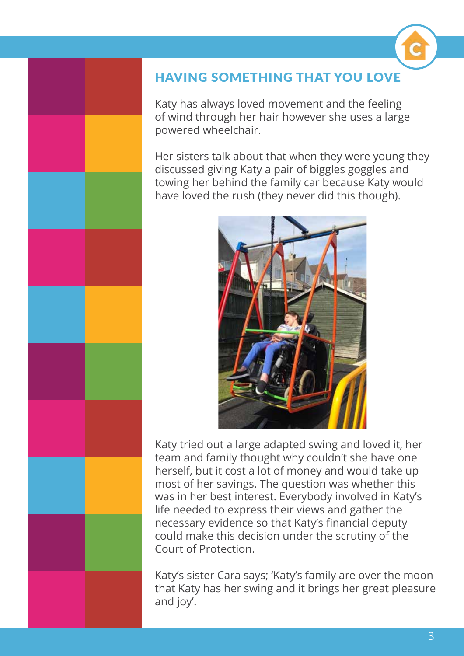

# HAVING SOMETHING THAT YOU LOVE

Katy has always loved movement and the feeling of wind through her hair however she uses a large powered wheelchair.

Her sisters talk about that when they were young they discussed giving Katy a pair of biggles goggles and towing her behind the family car because Katy would have loved the rush (they never did this though).



Katy tried out a large adapted swing and loved it, her team and family thought why couldn't she have one herself, but it cost a lot of money and would take up most of her savings. The question was whether this was in her best interest. Everybody involved in Katy's life needed to express their views and gather the necessary evidence so that Katy's financial deputy could make this decision under the scrutiny of the Court of Protection.

Katy's sister Cara says; 'Katy's family are over the moon that Katy has her swing and it brings her great pleasure and joy'.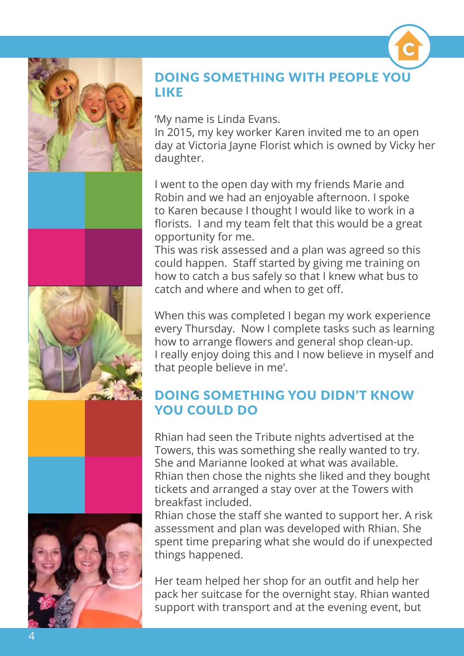









## DOING SOMETHING WITH PEOPLE YOU LIKE

'My name is Linda Evans.

In 2015, my key worker Karen invited me to an open day at Victoria Jayne Florist which is owned by Vicky her daughter.

I went to the open day with my friends Marie and Robin and we had an enjoyable afternoon. I spoke to Karen because I thought I would like to work in a florists. I and my team felt that this would be a great opportunity for me.

This was risk assessed and a plan was agreed so this could happen. Staff started by giving me training on how to catch a bus safely so that I knew what bus to catch and where and when to get off.

When this was completed I began my work experience every Thursday. Now I complete tasks such as learning how to arrange flowers and general shop clean-up. I really enjoy doing this and I now believe in myself and that people believe in me'.

# DOING SOMETHING YOU DIDN'T KNOW YOU COULD DO

Rhian had seen the Tribute nights advertised at the Towers, this was something she really wanted to try. She and Marianne looked at what was available. Rhian then chose the nights she liked and they bought tickets and arranged a stay over at the Towers with breakfast included.

Rhian chose the staff she wanted to support her. A risk assessment and plan was developed with Rhian. She spent time preparing what she would do if unexpected things happened.

Her team helped her shop for an outfit and help her pack her suitcase for the overnight stay. Rhian wanted support with transport and at the evening event, but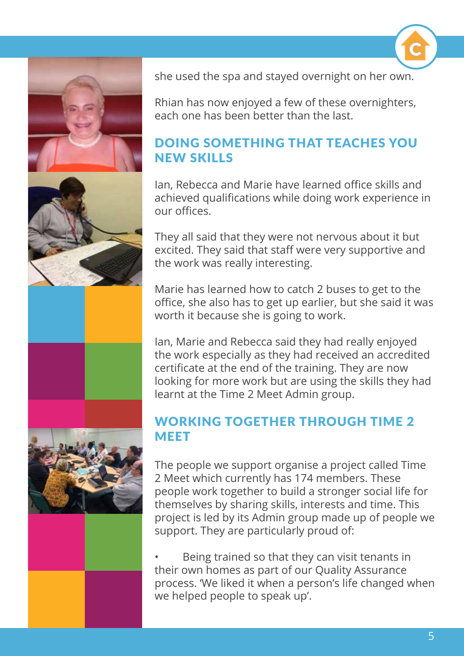







Rhian has now enjoyed a few of these overnighters, each one has been better than the last.

#### DOING SOMETHING THAT TEACHES YOU NEW SKILLS

Ian, Rebecca and Marie have learned office skills and achieved qualifications while doing work experience in our offices.

They all said that they were not nervous about it but excited. They said that staff were very supportive and the work was really interesting.

Marie has learned how to catch 2 buses to get to the office, she also has to get up earlier, but she said it was worth it because she is going to work.

Ian, Marie and Rebecca said they had really enjoyed the work especially as they had received an accredited certificate at the end of the training. They are now looking for more work but are using the skills they had learnt at the Time 2 Meet Admin group.

#### WORKING TOGETHER THROUGH TIME 2 MEET

The people we support organise a project called Time 2 Meet which currently has 174 members. These people work together to build a stronger social life for themselves by sharing skills, interests and time. This project is led by its Admin group made up of people we support. They are particularly proud of:

• Being trained so that they can visit tenants in their own homes as part of our Quality Assurance process. 'We liked it when a person's life changed when we helped people to speak up'.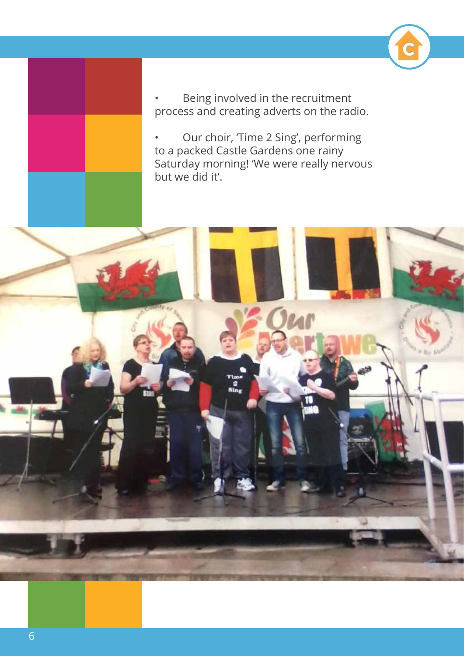

• Being involved in the recruitment process and creating adverts on the radio.

• Our choir, 'Time 2 Sing', performing to a packed Castle Gardens one rainy Saturday morning! 'We were really nervous but we did it'.

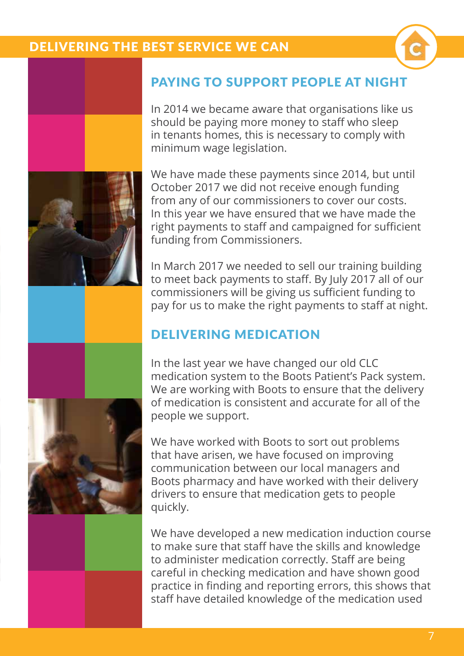#### DELIVERING THE BEST SERVICE WE CAN





#### PAYING TO SUPPORT PEOPLE AT NIGHT

In 2014 we became aware that organisations like us should be paying more money to staff who sleep in tenants homes, this is necessary to comply with minimum wage legislation.

We have made these payments since 2014, but until October 2017 we did not receive enough funding from any of our commissioners to cover our costs. In this year we have ensured that we have made the right payments to staff and campaigned for sufficient funding from Commissioners.

In March 2017 we needed to sell our training building to meet back payments to staff. By July 2017 all of our commissioners will be giving us sufficient funding to pay for us to make the right payments to staff at night.

#### DELIVERING MEDICATION

In the last year we have changed our old CLC medication system to the Boots Patient's Pack system. We are working with Boots to ensure that the delivery of medication is consistent and accurate for all of the people we support.



We have worked with Boots to sort out problems that have arisen, we have focused on improving communication between our local managers and Boots pharmacy and have worked with their delivery drivers to ensure that medication gets to people quickly.

We have developed a new medication induction course to make sure that staff have the skills and knowledge to administer medication correctly. Staff are being careful in checking medication and have shown good practice in finding and reporting errors, this shows that staff have detailed knowledge of the medication used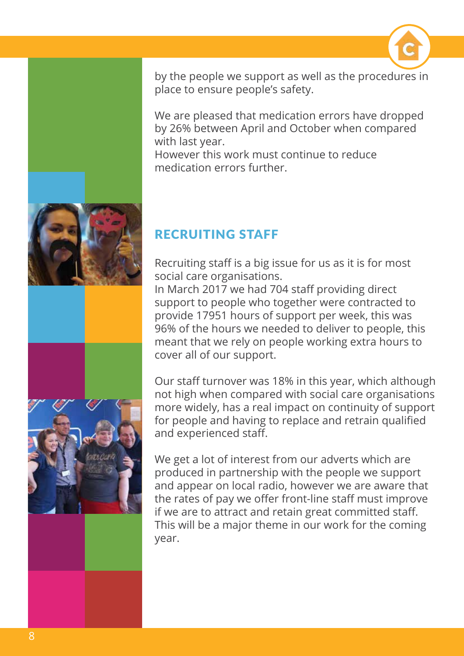by the people we support as well as the procedures in place to ensure people's safety.

We are pleased that medication errors have dropped by 26% between April and October when compared with last year.

However this work must continue to reduce medication errors further.

![](_page_7_Picture_3.jpeg)

# RECRUITING STAFF

Recruiting staff is a big issue for us as it is for most social care organisations.

In March 2017 we had 704 staff providing direct support to people who together were contracted to provide 17951 hours of support per week, this was 96% of the hours we needed to deliver to people, this meant that we rely on people working extra hours to cover all of our support.

Our staff turnover was 18% in this year, which although not high when compared with social care organisations more widely, has a real impact on continuity of support for people and having to replace and retrain qualified and experienced staff.

We get a lot of interest from our adverts which are produced in partnership with the people we support and appear on local radio, however we are aware that the rates of pay we offer front-line staff must improve if we are to attract and retain great committed staff. This will be a major theme in our work for the coming year.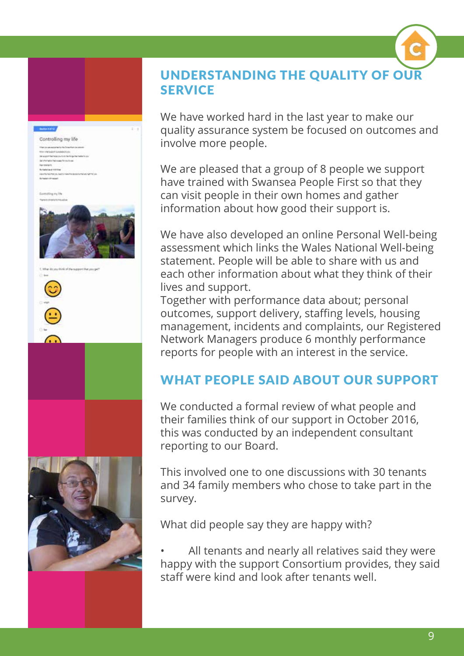### UNDERSTANDING THE QUALITY OF OUR **SERVICE**

We have worked hard in the last year to make our quality assurance system be focused on outcomes and involve more people.

We are pleased that a group of 8 people we support have trained with Swansea People First so that they can visit people in their own homes and gather information about how good their support is.

We have also developed an online Personal Well-being assessment which links the Wales National Well-being statement. People will be able to share with us and each other information about what they think of their lives and support.

Together with performance data about; personal outcomes, support delivery, staffing levels, housing management, incidents and complaints, our Registered Network Managers produce 6 monthly performance reports for people with an interest in the service.

# WHAT PEOPLE SAID ABOUT OUR SUPPORT

We conducted a formal review of what people and their families think of our support in October 2016, this was conducted by an independent consultant reporting to our Board.

This involved one to one discussions with 30 tenants and 34 family members who chose to take part in the survey.

What did people say they are happy with?

• All tenants and nearly all relatives said they were happy with the support Consortium provides, they said staff were kind and look after tenants well.

![](_page_8_Picture_10.jpeg)

Controlling my life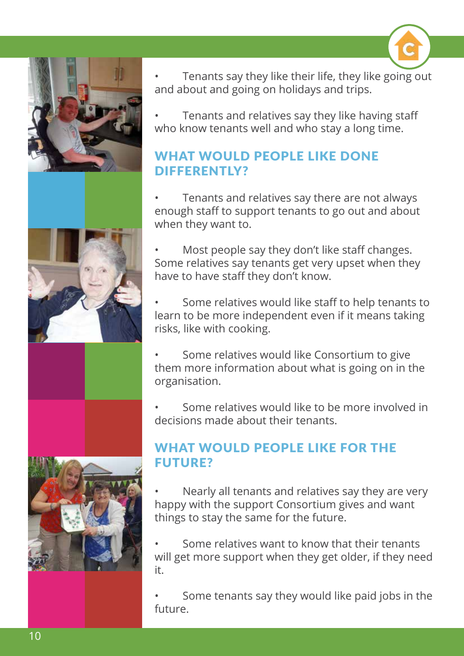![](_page_9_Picture_0.jpeg)

• Tenants say they like their life, they like going out and about and going on holidays and trips.

• Tenants and relatives say they like having staff who know tenants well and who stay a long time.

# WHAT WOULD PEOPLE LIKE DONE DIFFERENTLY?

• Tenants and relatives say there are not always enough staff to support tenants to go out and about when they want to.

Most people say they don't like staff changes. Some relatives say tenants get very upset when they have to have staff they don't know.

• Some relatives would like staff to help tenants to learn to be more independent even if it means taking risks, like with cooking.

• Some relatives would like Consortium to give them more information about what is going on in the organisation.

• Some relatives would like to be more involved in decisions made about their tenants.

## WHAT WOULD PEOPLE LIKE FOR THE FUTURE?

• Nearly all tenants and relatives say they are very happy with the support Consortium gives and want things to stay the same for the future.

• Some relatives want to know that their tenants will get more support when they get older, if they need it.

• Some tenants say they would like paid jobs in the future.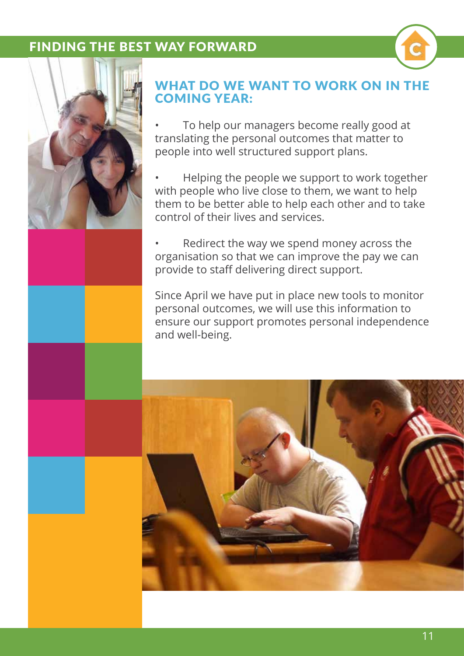## FINDING THE BEST WAY FORWARD

![](_page_10_Picture_1.jpeg)

![](_page_10_Picture_2.jpeg)

#### WHAT DO WE WANT TO WORK ON IN THE COMING YEAR:

• To help our managers become really good at translating the personal outcomes that matter to people into well structured support plans.

• Helping the people we support to work together with people who live close to them, we want to help them to be better able to help each other and to take control of their lives and services.

Redirect the way we spend money across the organisation so that we can improve the pay we can provide to staff delivering direct support.

Since April we have put in place new tools to monitor personal outcomes, we will use this information to ensure our support promotes personal independence and well-being.

![](_page_10_Picture_8.jpeg)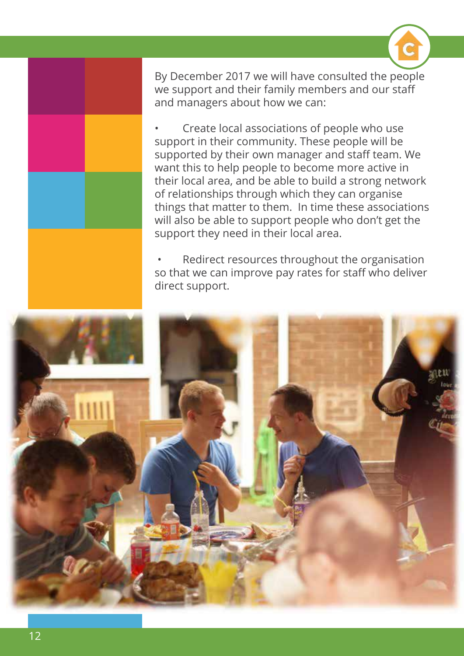By December 2017 we will have consulted the people we support and their family members and our staff and managers about how we can:

• Create local associations of people who use support in their community. These people will be supported by their own manager and staff team. We want this to help people to become more active in their local area, and be able to build a strong network of relationships through which they can organise things that matter to them. In time these associations will also be able to support people who don't get the support they need in their local area.

Redirect resources throughout the organisation so that we can improve pay rates for staff who deliver direct support.

![](_page_11_Picture_4.jpeg)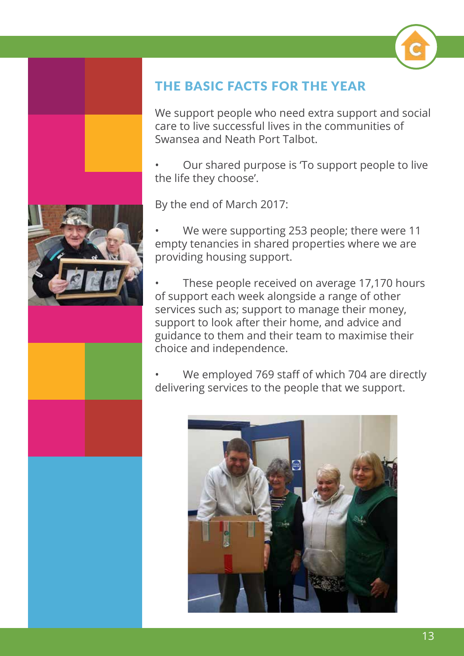![](_page_12_Picture_0.jpeg)

# THE BASIC FACTS FOR THE YEAR

We support people who need extra support and social care to live successful lives in the communities of Swansea and Neath Port Talbot.

• Our shared purpose is 'To support people to live the life they choose'.

By the end of March 2017:

We were supporting 253 people; there were 11 empty tenancies in shared properties where we are providing housing support.

These people received on average 17,170 hours of support each week alongside a range of other services such as; support to manage their money, support to look after their home, and advice and guidance to them and their team to maximise their choice and independence.

We employed 769 staff of which 704 are directly delivering services to the people that we support.

![](_page_12_Picture_8.jpeg)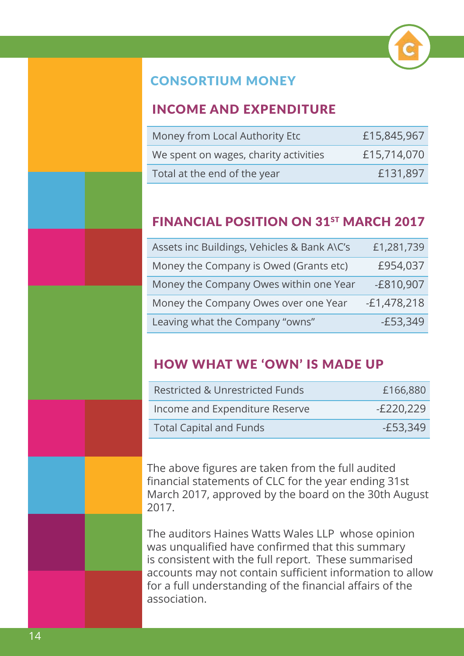![](_page_13_Picture_0.jpeg)

# CONSORTIUM MONEY

# INCOME AND EXPENDITURE

| Money from Local Authority Etc        | £15,845,967 |
|---------------------------------------|-------------|
| We spent on wages, charity activities | £15,714,070 |
| Total at the end of the year          | £131,897    |

# FINANCIAL POSITION ON 31ST MARCH 2017

| Assets inc Buildings, Vehicles & Bank A\C's | £1,281,739    |
|---------------------------------------------|---------------|
| Money the Company is Owed (Grants etc)      | £954,037      |
| Money the Company Owes within one Year      | -£810,907     |
| Money the Company Owes over one Year        | $-E1,478,218$ |
| Leaving what the Company "owns"             | $-E53,349$    |

# HOW WHAT WE 'OWN' IS MADE UP

| Restricted & Unrestricted Funds | £166,880    |
|---------------------------------|-------------|
| Income and Expenditure Reserve  | $-E220.229$ |
| <b>Total Capital and Funds</b>  | -£53,349    |

The above figures are taken from the full audited financial statements of CLC for the year ending 31st March 2017, approved by the board on the 30th August 2017.

The auditors Haines Watts Wales LLP whose opinion was unqualified have confirmed that this summary is consistent with the full report. These summarised accounts may not contain sufficient information to allow for a full understanding of the financial affairs of the association.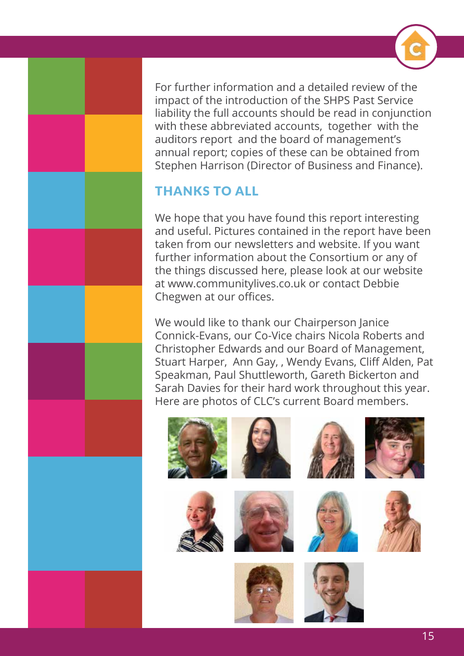![](_page_14_Picture_0.jpeg)

For further information and a detailed review of the impact of the introduction of the SHPS Past Service liability the full accounts should be read in conjunction with these abbreviated accounts, together with the auditors report and the board of management's annual report; copies of these can be obtained from Stephen Harrison (Director of Business and Finance).

# THANKS TO ALL

We hope that you have found this report interesting and useful. Pictures contained in the report have been taken from our newsletters and website. If you want further information about the Consortium or any of the things discussed here, please look at our website at www.communitylives.co.uk or contact Debbie Chegwen at our offices.

We would like to thank our Chairperson Janice Connick-Evans, our Co-Vice chairs Nicola Roberts and Christopher Edwards and our Board of Management, Stuart Harper, Ann Gay, , Wendy Evans, Cliff Alden, Pat Speakman, Paul Shuttleworth, Gareth Bickerton and Sarah Davies for their hard work throughout this year. Here are photos of CLC's current Board members.

![](_page_14_Picture_5.jpeg)

![](_page_14_Picture_6.jpeg)

![](_page_14_Picture_7.jpeg)

![](_page_14_Picture_8.jpeg)

![](_page_14_Picture_9.jpeg)

![](_page_14_Picture_10.jpeg)

![](_page_14_Picture_11.jpeg)

![](_page_14_Picture_12.jpeg)